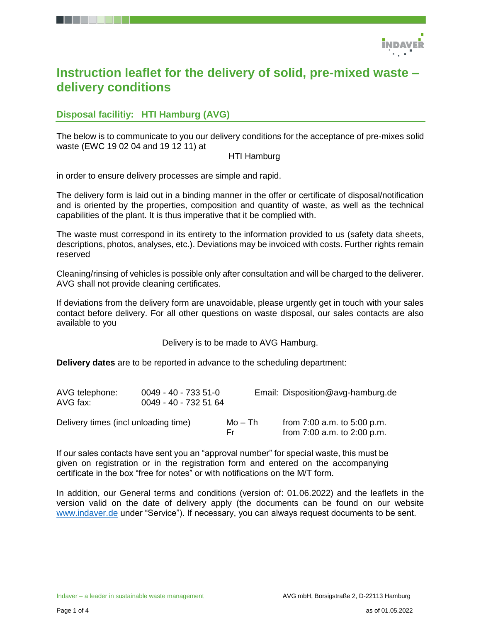

# **Instruction leaflet for the delivery of solid, pre-mixed waste – delivery conditions**

# **Disposal facilitiy: HTI Hamburg (AVG)**

The below is to communicate to you our delivery conditions for the acceptance of pre-mixes solid waste (EWC 19 02 04 and 19 12 11) at

#### HTI Hamburg

in order to ensure delivery processes are simple and rapid.

The delivery form is laid out in a binding manner in the offer or certificate of disposal/notification and is oriented by the properties, composition and quantity of waste, as well as the technical capabilities of the plant. It is thus imperative that it be complied with.

The waste must correspond in its entirety to the information provided to us (safety data sheets, descriptions, photos, analyses, etc.). Deviations may be invoiced with costs. Further rights remain reserved

Cleaning/rinsing of vehicles is possible only after consultation and will be charged to the deliverer. AVG shall not provide cleaning certificates.

If deviations from the delivery form are unavoidable, please urgently get in touch with your sales contact before delivery. For all other questions on waste disposal, our sales contacts are also available to you

Delivery is to be made to AVG Hamburg.

**Delivery dates** are to be reported in advance to the scheduling department:

| AVG telephone:<br>AVG fax:           | 0049 - 40 - 733 51-0<br>0049 - 40 - 732 51 64 |                | Email: Disposition@avg-hamburg.de                                  |
|--------------------------------------|-----------------------------------------------|----------------|--------------------------------------------------------------------|
| Delivery times (incl unloading time) |                                               | Mo – Th<br>Fr. | from $7:00$ a.m. to $5:00$ p.m.<br>from $7:00$ a.m. to $2:00$ p.m. |

If our sales contacts have sent you an "approval number" for special waste, this must be given on registration or in the registration form and entered on the accompanying certificate in the box "free for notes" or with notifications on the M/T form.

In addition, our General terms and conditions (version of: 01.06.2022) and the leaflets in the version valid on the date of delivery apply (the documents can be found on our website [www.indaver.de](http://www.indaver.de/) under "Service"). If necessary, you can always request documents to be sent.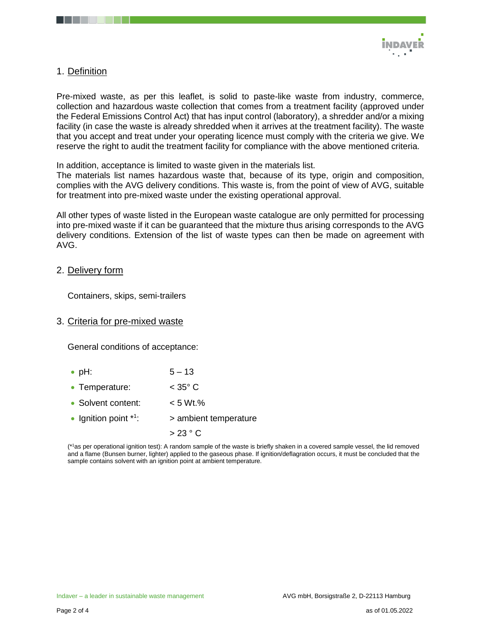

## 1. Definition

Pre-mixed waste, as per this leaflet, is solid to paste-like waste from industry, commerce, collection and hazardous waste collection that comes from a treatment facility (approved under the Federal Emissions Control Act) that has input control (laboratory), a shredder and/or a mixing facility (in case the waste is already shredded when it arrives at the treatment facility). The waste that you accept and treat under your operating licence must comply with the criteria we give. We reserve the right to audit the treatment facility for compliance with the above mentioned criteria.

In addition, acceptance is limited to waste given in the materials list.

The materials list names hazardous waste that, because of its type, origin and composition, complies with the AVG delivery conditions. This waste is, from the point of view of AVG, suitable for treatment into pre-mixed waste under the existing operational approval.

All other types of waste listed in the European waste catalogue are only permitted for processing into pre-mixed waste if it can be guaranteed that the mixture thus arising corresponds to the AVG delivery conditions. Extension of the list of waste types can then be made on agreement with AVG.

#### 2. Delivery form

Containers, skips, semi-trailers

3. Criteria for pre-mixed waste

General conditions of acceptance:

- pH: 5 13
- Temperature: < 35° C
- Solvent content:  $\sim$  5 Wt.%
- Ignition point  $*1$ : : > ambient temperature
	- $> 23 °C$

(\*<sup>1</sup>as per operational ignition test): A random sample of the waste is briefly shaken in a covered sample vessel, the lid removed and a flame (Bunsen burner, lighter) applied to the gaseous phase. If ignition/deflagration occurs, it must be concluded that the sample contains solvent with an ignition point at ambient temperature.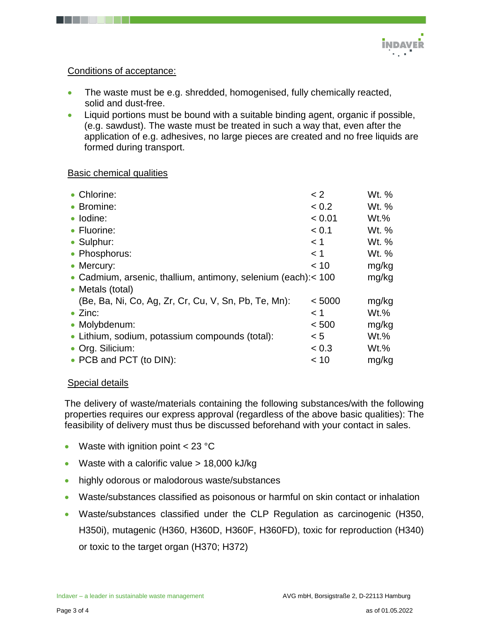# Conditions of acceptance:

- The waste must be e.g. shredded, homogenised, fully chemically reacted, solid and dust-free.
- Liquid portions must be bound with a suitable binding agent, organic if possible, (e.g. sawdust). The waste must be treated in such a way that, even after the application of e.g. adhesives, no large pieces are created and no free liquids are formed during transport.

### Basic chemical qualities

| • Chlorine:                                                   | < 2    | Wt. %   |
|---------------------------------------------------------------|--------|---------|
| • Bromine:                                                    | < 0.2  | Wt. %   |
| · Iodine:                                                     | < 0.01 | $Wt.$ % |
| • Fluorine:                                                   | < 0.1  | Wt. %   |
| • Sulphur:                                                    | < 1    | Wt. %   |
| • Phosphorus:                                                 | < 1    | Wt. %   |
| • Mercury:                                                    | < 10   | mg/kg   |
| • Cadmium, arsenic, thallium, antimony, selenium (each):< 100 |        | mg/kg   |
| • Metals (total)                                              |        |         |
| (Be, Ba, Ni, Co, Ag, Zr, Cr, Cu, V, Sn, Pb, Te, Mn):          | < 5000 | mg/kg   |
| $\bullet$ Zinc:                                               | < 1    | $Wt.\%$ |
| • Molybdenum:                                                 | < 500  | mg/kg   |
| • Lithium, sodium, potassium compounds (total):               | < 5    | $Wt.$ % |
| • Org. Silicium:                                              | < 0.3  | $Wt.$ % |
| • PCB and PCT (to DIN):                                       | < 10   | mg/kg   |

# Special details

The delivery of waste/materials containing the following substances/with the following properties requires our express approval (regardless of the above basic qualities): The feasibility of delivery must thus be discussed beforehand with your contact in sales.

- Waste with ignition point  $< 23 °C$
- Waste with a calorific value  $> 18,000$  kJ/kg
- highly odorous or malodorous waste/substances
- Waste/substances classified as poisonous or harmful on skin contact or inhalation
- Waste/substances classified under the CLP Regulation as carcinogenic (H350, H350i), mutagenic (H360, H360D, H360F, H360FD), toxic for reproduction (H340) or toxic to the target organ (H370; H372)